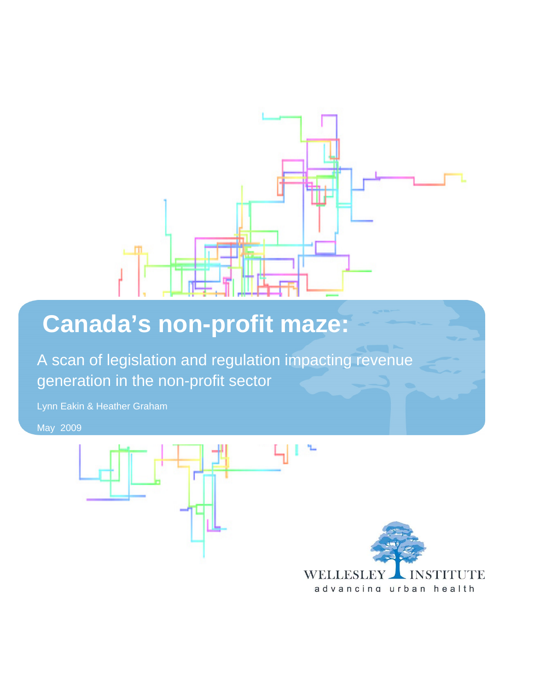

# **Canada's non-profit maze:**

A scan of legislation and regulation impacting revenue generation in the non-profit sector

Lynn Eakin & Heather Graham

May 2009



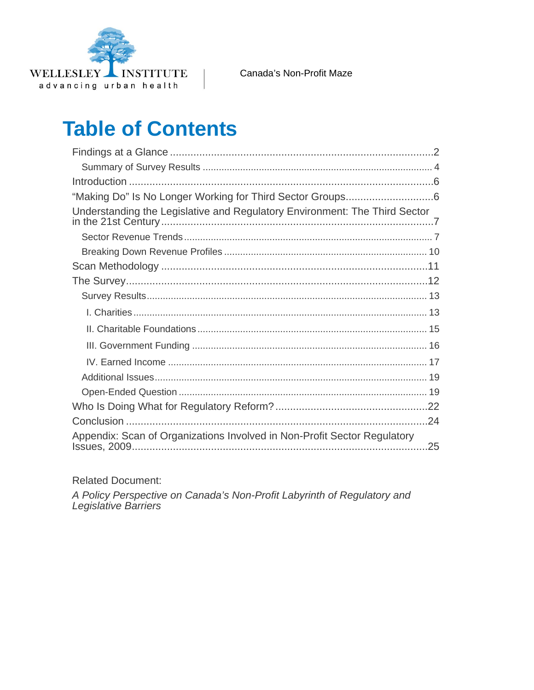

# **Table of Contents**

| Understanding the Legislative and Regulatory Environment: The Third Sector |  |
|----------------------------------------------------------------------------|--|
|                                                                            |  |
|                                                                            |  |
|                                                                            |  |
|                                                                            |  |
|                                                                            |  |
|                                                                            |  |
|                                                                            |  |
|                                                                            |  |
|                                                                            |  |
|                                                                            |  |
|                                                                            |  |
|                                                                            |  |
|                                                                            |  |
| Appendix: Scan of Organizations Involved in Non-Profit Sector Regulatory   |  |

**Related Document:** 

A Policy Perspective on Canada's Non-Profit Labyrinth of Regulatory and Legislative Barriers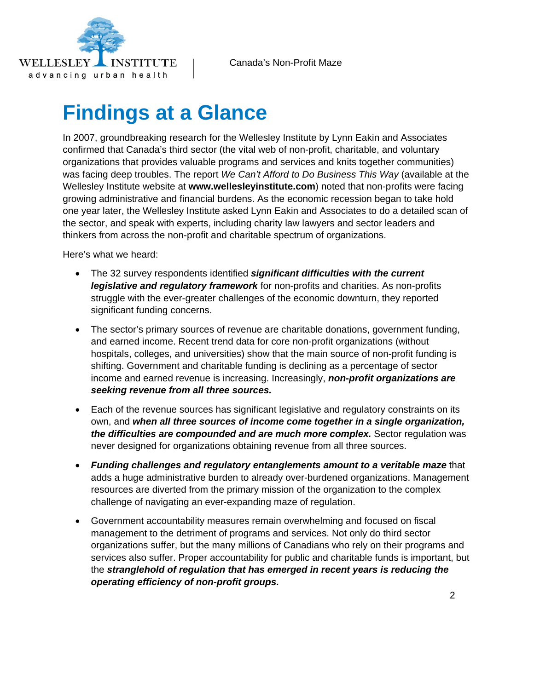<span id="page-2-0"></span>

# **Findings at a Glance**

In 2007, groundbreaking research for the Wellesley Institute by Lynn Eakin and Associates confirmed that Canada's third sector (the vital web of non-profit, charitable, and voluntary organizations that provides valuable programs and services and knits together communities) was facing deep troubles. The report *We Can't Afford to Do Business This Way* (available at the Wellesley Institute website at **www.wellesleyinstitute.com**) noted that non-profits were facing growing administrative and financial burdens. As the economic recession began to take hold one year later, the Wellesley Institute asked Lynn Eakin and Associates to do a detailed scan of the sector, and speak with experts, including charity law lawyers and sector leaders and thinkers from across the non-profit and charitable spectrum of organizations.

Here's what we heard:

- The 32 survey respondents identified *significant difficulties with the current legislative and regulatory framework* for non-profits and charities. As non-profits struggle with the ever-greater challenges of the economic downturn, they reported significant funding concerns.
- The sector's primary sources of revenue are charitable donations, government funding, and earned income. Recent trend data for core non-profit organizations (without hospitals, colleges, and universities) show that the main source of non-profit funding is shifting. Government and charitable funding is declining as a percentage of sector income and earned revenue is increasing. Increasingly, *non-profit organizations are seeking revenue from all three sources.*
- Each of the revenue sources has significant legislative and regulatory constraints on its own, and *when all three sources of income come together in a single organization, the difficulties are compounded and are much more complex.* Sector regulation was never designed for organizations obtaining revenue from all three sources.
- *Funding challenges and regulatory entanglements amount to a veritable maze* that adds a huge administrative burden to already over-burdened organizations. Management resources are diverted from the primary mission of the organization to the complex challenge of navigating an ever-expanding maze of regulation.
- Government accountability measures remain overwhelming and focused on fiscal management to the detriment of programs and services. Not only do third sector organizations suffer, but the many millions of Canadians who rely on their programs and services also suffer. Proper accountability for public and charitable funds is important, but the *stranglehold of regulation that has emerged in recent years is reducing the operating efficiency of non-profit groups.*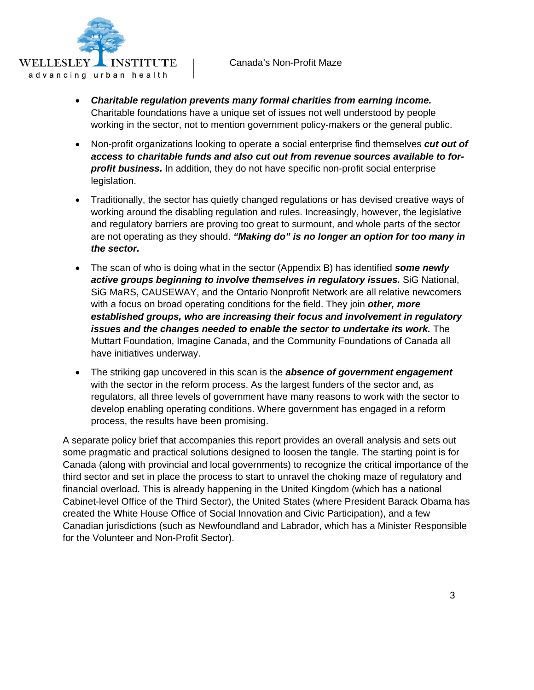

- *Charitable regulation prevents many formal charities from earning income.* Charitable foundations have a unique set of issues not well understood by people working in the sector, not to mention government policy-makers or the general public.
- Non-profit organizations looking to operate a social enterprise find themselves *cut out of access to charitable funds and also cut out from revenue sources available to forprofit business.* In addition, they do not have specific non-profit social enterprise legislation.
- Traditionally, the sector has quietly changed regulations or has devised creative ways of working around the disabling regulation and rules. Increasingly, however, the legislative and regulatory barriers are proving too great to surmount, and whole parts of the sector are not operating as they should. *"Making do" is no longer an option for too many in the sector.*
- The scan of who is doing what in the sector (Appendix B) has identified *some newly active groups beginning to involve themselves in regulatory issues.* SiG National, SiG MaRS, CAUSEWAY, and the Ontario Nonprofit Network are all relative newcomers with a focus on broad operating conditions for the field. They join *other, more established groups, who are increasing their focus and involvement in regulatory issues and the changes needed to enable the sector to undertake its work.* The Muttart Foundation, Imagine Canada, and the Community Foundations of Canada all have initiatives underway.
- The striking gap uncovered in this scan is the *absence of government engagement* with the sector in the reform process. As the largest funders of the sector and, as regulators, all three levels of government have many reasons to work with the sector to develop enabling operating conditions. Where government has engaged in a reform process, the results have been promising.

A separate policy brief that accompanies this report provides an overall analysis and sets out some pragmatic and practical solutions designed to loosen the tangle. The starting point is for Canada (along with provincial and local governments) to recognize the critical importance of the third sector and set in place the process to start to unravel the choking maze of regulatory and financial overload. This is already happening in the United Kingdom (which has a national Cabinet-level Office of the Third Sector), the United States (where President Barack Obama has created the White House Office of Social Innovation and Civic Participation), and a few Canadian jurisdictions (such as Newfoundland and Labrador, which has a Minister Responsible for the Volunteer and Non-Profit Sector).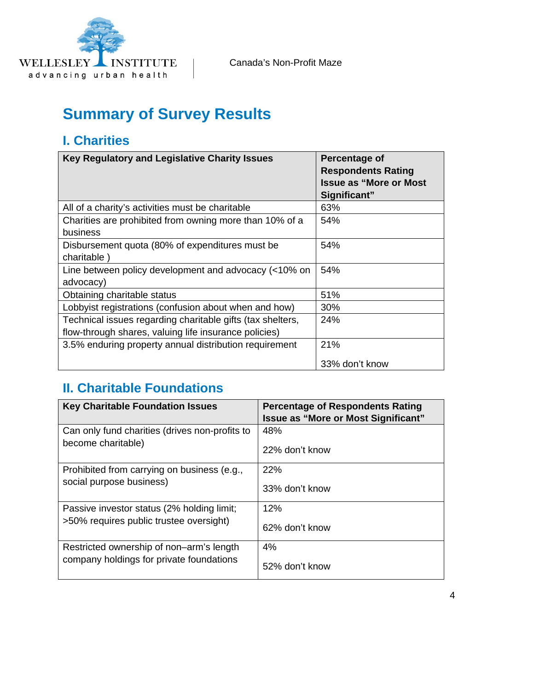<span id="page-4-0"></span>

## **Summary of Survey Results**

#### **I. Charities**

| Key Regulatory and Legislative Charity Issues                                                                       | Percentage of<br><b>Respondents Rating</b><br><b>Issue as "More or Most</b><br>Significant" |
|---------------------------------------------------------------------------------------------------------------------|---------------------------------------------------------------------------------------------|
| All of a charity's activities must be charitable                                                                    | 63%                                                                                         |
| Charities are prohibited from owning more than 10% of a<br>business                                                 | 54%                                                                                         |
| Disbursement quota (80% of expenditures must be<br>charitable)                                                      | 54%                                                                                         |
| Line between policy development and advocacy (<10% on<br>advocacy)                                                  | 54%                                                                                         |
| Obtaining charitable status                                                                                         | 51%                                                                                         |
| Lobbyist registrations (confusion about when and how)                                                               | 30%                                                                                         |
| Technical issues regarding charitable gifts (tax shelters,<br>flow-through shares, valuing life insurance policies) | 24%                                                                                         |
| 3.5% enduring property annual distribution requirement                                                              | 21%<br>33% don't know                                                                       |

#### **II. Charitable Foundations**

| <b>Key Charitable Foundation Issues</b>        | <b>Percentage of Respondents Rating</b><br><b>Issue as "More or Most Significant"</b> |
|------------------------------------------------|---------------------------------------------------------------------------------------|
| Can only fund charities (drives non-profits to | 48%                                                                                   |
| become charitable)                             | 22% don't know                                                                        |
| Prohibited from carrying on business (e.g.,    | 22%                                                                                   |
| social purpose business)                       | 33% don't know                                                                        |
| Passive investor status (2% holding limit;     | 12%                                                                                   |
| >50% requires public trustee oversight)        | 62% don't know                                                                        |
| Restricted ownership of non-arm's length       | 4%                                                                                    |
| company holdings for private foundations       | 52% don't know                                                                        |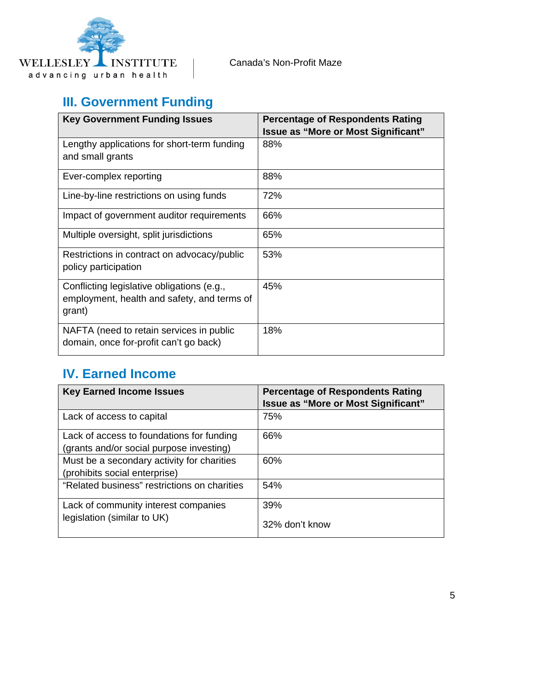

### **III. Government Funding**

| <b>Key Government Funding Issues</b>                                                                | <b>Percentage of Respondents Rating</b><br><b>Issue as "More or Most Significant"</b> |
|-----------------------------------------------------------------------------------------------------|---------------------------------------------------------------------------------------|
| Lengthy applications for short-term funding<br>and small grants                                     | 88%                                                                                   |
| Ever-complex reporting                                                                              | 88%                                                                                   |
| Line-by-line restrictions on using funds                                                            | 72%                                                                                   |
| Impact of government auditor requirements                                                           | 66%                                                                                   |
| Multiple oversight, split jurisdictions                                                             | 65%                                                                                   |
| Restrictions in contract on advocacy/public<br>policy participation                                 | 53%                                                                                   |
| Conflicting legislative obligations (e.g.,<br>employment, health and safety, and terms of<br>grant) | 45%                                                                                   |
| NAFTA (need to retain services in public<br>domain, once for-profit can't go back)                  | 18%                                                                                   |

#### **IV. Earned Income**

| <b>Key Earned Income Issues</b>                                                       | <b>Percentage of Respondents Rating</b><br>Issue as "More or Most Significant" |
|---------------------------------------------------------------------------------------|--------------------------------------------------------------------------------|
| Lack of access to capital                                                             | 75%                                                                            |
| Lack of access to foundations for funding<br>(grants and/or social purpose investing) | 66%                                                                            |
| Must be a secondary activity for charities<br>(prohibits social enterprise)           | 60%                                                                            |
| "Related business" restrictions on charities                                          | 54%                                                                            |
| Lack of community interest companies<br>legislation (similar to UK)                   | 39%<br>32% don't know                                                          |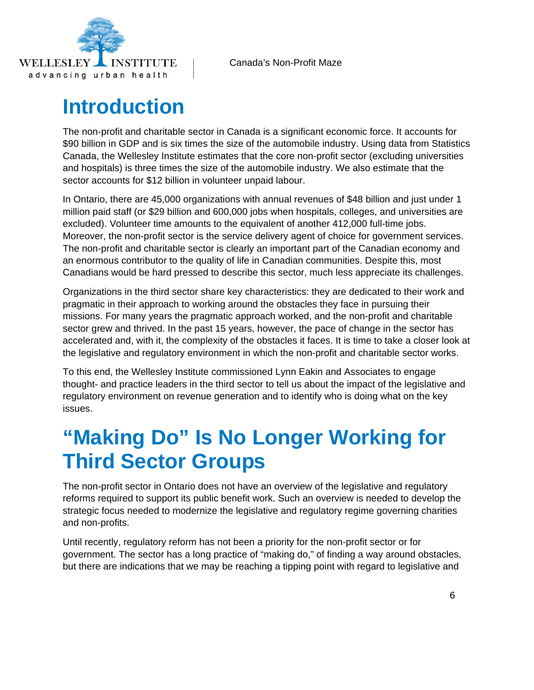<span id="page-6-0"></span>

## **Introduction**

The non-profit and charitable sector in Canada is a significant economic force. It accounts for \$90 billion in GDP and is six times the size of the automobile industry. Using data from Statistics Canada, the Wellesley Institute estimates that the core non-profit sector (excluding universities and hospitals) is three times the size of the automobile industry. We also estimate that the sector accounts for \$12 billion in volunteer unpaid labour.

In Ontario, there are 45,000 organizations with annual revenues of \$48 billion and just under 1 million paid staff (or \$29 billion and 600,000 jobs when hospitals, colleges, and universities are excluded). Volunteer time amounts to the equivalent of another 412,000 full-time jobs. Moreover, the non-profit sector is the service delivery agent of choice for government services. The non-profit and charitable sector is clearly an important part of the Canadian economy and an enormous contributor to the quality of life in Canadian communities. Despite this, most Canadians would be hard pressed to describe this sector, much less appreciate its challenges.

Organizations in the third sector share key characteristics: they are dedicated to their work and pragmatic in their approach to working around the obstacles they face in pursuing their missions. For many years the pragmatic approach worked, and the non-profit and charitable sector grew and thrived. In the past 15 years, however, the pace of change in the sector has accelerated and, with it, the complexity of the obstacles it faces. It is time to take a closer look at the legislative and regulatory environment in which the non-profit and charitable sector works.

To this end, the Wellesley Institute commissioned Lynn Eakin and Associates to engage thought- and practice leaders in the third sector to tell us about the impact of the legislative and regulatory environment on revenue generation and to identify who is doing what on the key issues.

# **"Making Do" Is No Longer Working for Third Sector Groups**

The non-profit sector in Ontario does not have an overview of the legislative and regulatory reforms required to support its public benefit work. Such an overview is needed to develop the strategic focus needed to modernize the legislative and regulatory regime governing charities and non-profits.

Until recently, regulatory reform has not been a priority for the non-profit sector or for government. The sector has a long practice of "making do," of finding a way around obstacles, but there are indications that we may be reaching a tipping point with regard to legislative and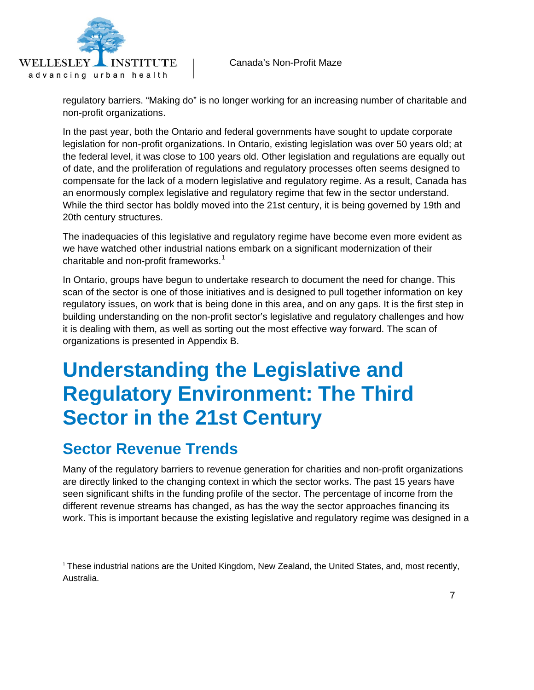<span id="page-7-0"></span>

regulatory barriers. "Making do" is no longer working for an increasing number of charitable and non-profit organizations.

In the past year, both the Ontario and federal governments have sought to update corporate legislation for non-profit organizations. In Ontario, existing legislation was over 50 years old; at the federal level, it was close to 100 years old. Other legislation and regulations are equally out of date, and the proliferation of regulations and regulatory processes often seems designed to compensate for the lack of a modern legislative and regulatory regime. As a result, Canada has an enormously complex legislative and regulatory regime that few in the sector understand. While the third sector has boldly moved into the 21st century, it is being governed by 19th and 20th century structures.

The inadequacies of this legislative and regulatory regime have become even more evident as we have watched other industrial nations embark on a significant modernization of their charitable and non-profit frameworks. $1$ 

In Ontario, groups have begun to undertake research to document the need for change. This scan of the sector is one of those initiatives and is designed to pull together information on key regulatory issues, on work that is being done in this area, and on any gaps. It is the first step in building understanding on the non-profit sector's legislative and regulatory challenges and how it is dealing with them, as well as sorting out the most effective way forward. The scan of organizations is presented in Appendix B.

## **Understanding the Legislative and Regulatory Environment: The Third Sector in the 21st Century**

### **Sector Revenue Trends**

Many of the regulatory barriers to revenue generation for charities and non-profit organizations are directly linked to the changing context in which the sector works. The past 15 years have seen significant shifts in the funding profile of the sector. The percentage of income from the different revenue streams has changed, as has the way the sector approaches financing its work. This is important because the existing legislative and regulatory regime was designed in a

<span id="page-7-1"></span><sup>1</sup> These industrial nations are the United Kingdom, New Zealand, the United States, and, most recently, Australia.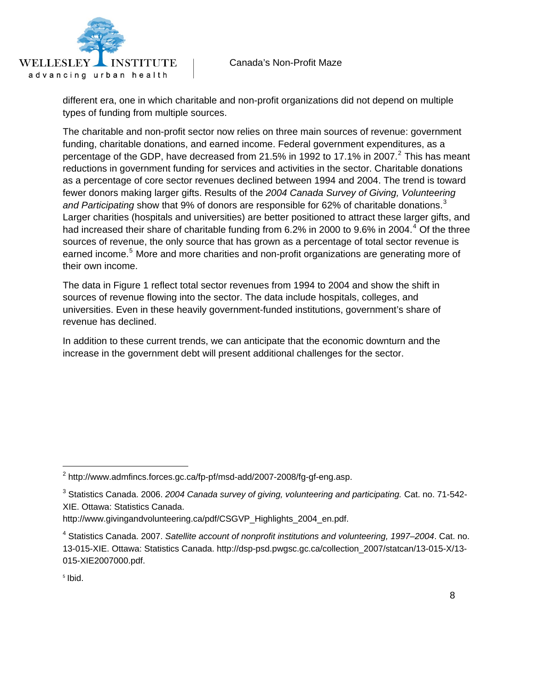

different era, one in which charitable and non-profit organizations did not depend on multiple types of funding from multiple sources.

The charitable and non-profit sector now relies on three main sources of revenue: government funding, charitable donations, and earned income. Federal government expenditures, as a percentage of the GDP, have decreased from [2](#page-8-0)1.5% in 1992 to 17.1% in 2007.<sup>2</sup> This has meant reductions in government funding for services and activities in the sector. Charitable donations as a percentage of core sector revenues declined between 1994 and 2004. The trend is toward fewer donors making larger gifts. Results of the *2004 Canada Survey of Giving, Volunteering*  and Participating show that 9% of donors are responsible for 62% of charitable donations.<sup>[3](#page-8-1)</sup> Larger charities (hospitals and universities) are better positioned to attract these larger gifts, and had increased their share of charitable funding from 6.2% in 2000 to 9.6% in 200[4](#page-8-2).<sup>4</sup> Of the three sources of revenue, the only source that has grown as a percentage of total sector revenue is earned income.<sup>[5](#page-8-3)</sup> More and more charities and non-profit organizations are generating more of their own income.

The data in Figure 1 reflect total sector revenues from 1994 to 2004 and show the shift in sources of revenue flowing into the sector. The data include hospitals, colleges, and universities. Even in these heavily government-funded institutions, government's share of revenue has declined.

In addition to these current trends, we can anticipate that the economic downturn and the increase in the government debt will present additional challenges for the sector.

<span id="page-8-0"></span> $^2$  http://www.admfincs.forces.gc.ca/fp-pf/msd-add/2007-2008/fg-gf-eng.asp.

<span id="page-8-1"></span><sup>3</sup> Statistics Canada. 2006. *2004 Canada survey of giving, volunteering and participating.* Cat. no. 71-542- XIE. Ottawa: Statistics Canada.

http://www.givingandvolunteering.ca/pdf/CSGVP\_Highlights\_2004\_en.pdf.

<span id="page-8-2"></span><sup>4</sup> Statistics Canada. 2007. *Satellite account of nonprofit institutions and volunteering, 1997–2004*. Cat. no. 13-015-XIE. Ottawa: Statistics Canada. http://dsp-psd.pwgsc.gc.ca/collection\_2007/statcan/13-015-X/13- 015-XIE2007000.pdf.

<span id="page-8-3"></span> $<sup>5</sup>$  Ibid.</sup>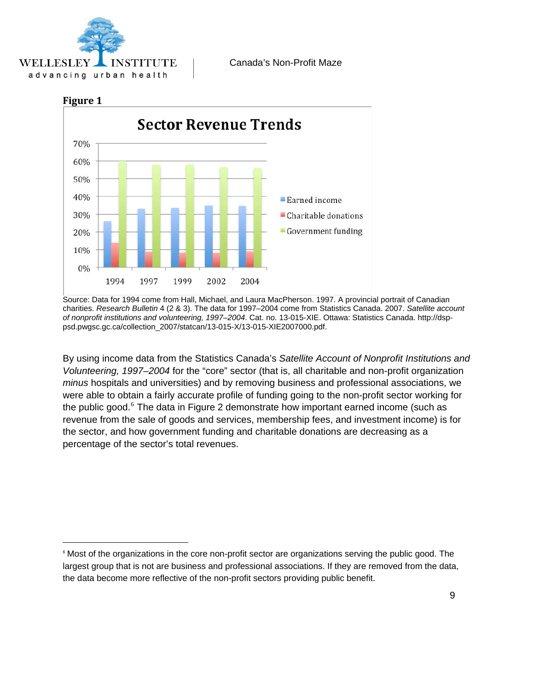





Source: Data for 1994 come from Hall, Michael, and Laura MacPherson. 1997. A provincial portrait of Canadian charities. *Research Bulletin* 4 (2 & 3). The data for 1997–2004 come from Statistics Canada. 2007. *Satellite account of nonprofit institutions and volunteering, 1997–2004*. Cat. no. 13-015-XIE. Ottawa: Statistics Canada. http://dsppsd.pwgsc.gc.ca/collection\_2007/statcan/13-015-X/13-015-XIE2007000.pdf.

By using income data from the Statistics Canada's *Satellite Account of Nonprofit Institutions and Volunteering, 1997–2004* for the "core" sector (that is, all charitable and non-profit organization *minus* hospitals and universities) and by removing business and professional associations, we were able to obtain a fairly accurate profile of funding going to the non-profit sector working for the public good.<sup>[6](#page-9-0)</sup> The data in Figure 2 demonstrate how important earned income (such as revenue from the sale of goods and services, membership fees, and investment income) is for the sector, and how government funding and charitable donations are decreasing as a percentage of the sector's total revenues.

<span id="page-9-0"></span><sup>&</sup>lt;sup>6</sup> Most of the organizations in the core non-profit sector are organizations serving the public good. The largest group that is not are business and professional associations. If they are removed from the data, the data become more reflective of the non-profit sectors providing public benefit.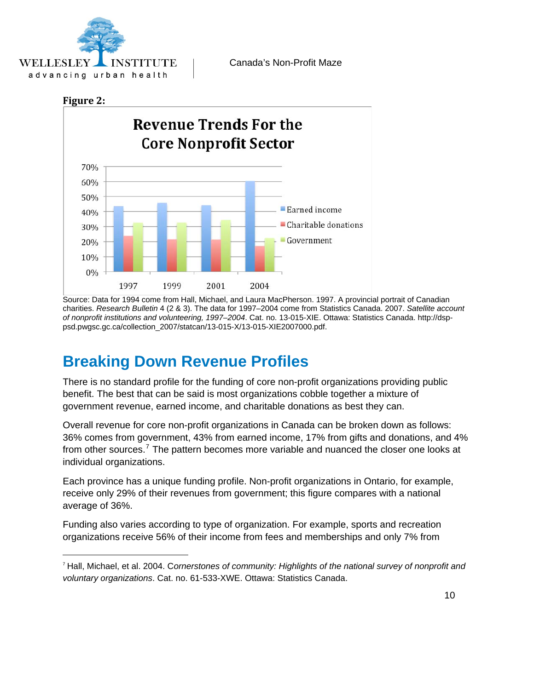<span id="page-10-0"></span>

#### **Figure 2:**

 $\overline{a}$ 



Source: Data for 1994 come from Hall, Michael, and Laura MacPherson. 1997. A provincial portrait of Canadian charities. *Research Bulletin* 4 (2 & 3). The data for 1997–2004 come from Statistics Canada. 2007. *Satellite account of nonprofit institutions and volunteering, 1997–2004*. Cat. no. 13-015-XIE. Ottawa: Statistics Canada. http://dsppsd.pwgsc.gc.ca/collection\_2007/statcan/13-015-X/13-015-XIE2007000.pdf.

### **Breaking Down Revenue Profiles**

There is no standard profile for the funding of core non-profit organizations providing public benefit. The best that can be said is most organizations cobble together a mixture of government revenue, earned income, and charitable donations as best they can.

Overall revenue for core non-profit organizations in Canada can be broken down as follows: 36% comes from government, 43% from earned income, 17% from gifts and donations, and 4% from other sources.<sup>[7](#page-10-1)</sup> The pattern becomes more variable and nuanced the closer one looks at individual organizations.

Each province has a unique funding profile. Non-profit organizations in Ontario, for example, receive only 29% of their revenues from government; this figure compares with a national average of 36%.

Funding also varies according to type of organization. For example, sports and recreation organizations receive 56% of their income from fees and memberships and only 7% from

<span id="page-10-1"></span><sup>7</sup> Hall, Michael, et al. 2004. C*ornerstones of community: Highlights of the national survey of nonprofit and voluntary organizations*. Cat. no. 61-533-XWE. Ottawa: Statistics Canada.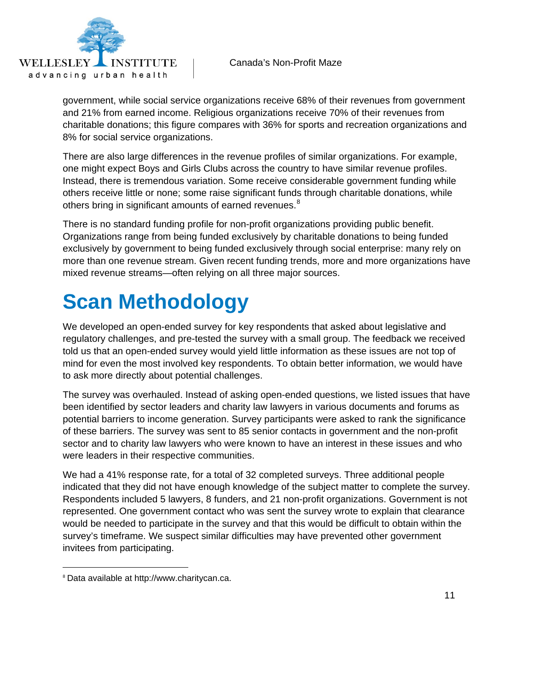<span id="page-11-0"></span>

government, while social service organizations receive 68% of their revenues from government and 21% from earned income. Religious organizations receive 70% of their revenues from charitable donations; this figure compares with 36% for sports and recreation organizations and 8% for social service organizations.

There are also large differences in the revenue profiles of similar organizations. For example, one might expect Boys and Girls Clubs across the country to have similar revenue profiles. Instead, there is tremendous variation. Some receive considerable government funding while others receive little or none; some raise significant funds through charitable donations, while others bring in significant amounts of earned revenues.<sup>[8](#page-11-1)</sup>

There is no standard funding profile for non-profit organizations providing public benefit. Organizations range from being funded exclusively by charitable donations to being funded exclusively by government to being funded exclusively through social enterprise: many rely on more than one revenue stream. Given recent funding trends, more and more organizations have mixed revenue streams—often relying on all three major sources.

# **Scan Methodology**

We developed an open-ended survey for key respondents that asked about legislative and regulatory challenges, and pre-tested the survey with a small group. The feedback we received told us that an open-ended survey would yield little information as these issues are not top of mind for even the most involved key respondents. To obtain better information, we would have to ask more directly about potential challenges.

The survey was overhauled. Instead of asking open-ended questions, we listed issues that have been identified by sector leaders and charity law lawyers in various documents and forums as potential barriers to income generation. Survey participants were asked to rank the significance of these barriers. The survey was sent to 85 senior contacts in government and the non-profit sector and to charity law lawyers who were known to have an interest in these issues and who were leaders in their respective communities.

We had a 41% response rate, for a total of 32 completed surveys. Three additional people indicated that they did not have enough knowledge of the subject matter to complete the survey. Respondents included 5 lawyers, 8 funders, and 21 non-profit organizations. Government is not represented. One government contact who was sent the survey wrote to explain that clearance would be needed to participate in the survey and that this would be difficult to obtain within the survey's timeframe. We suspect similar difficulties may have prevented other government invitees from participating.

<span id="page-11-1"></span><sup>8</sup> Data available at http://www.charitycan.ca.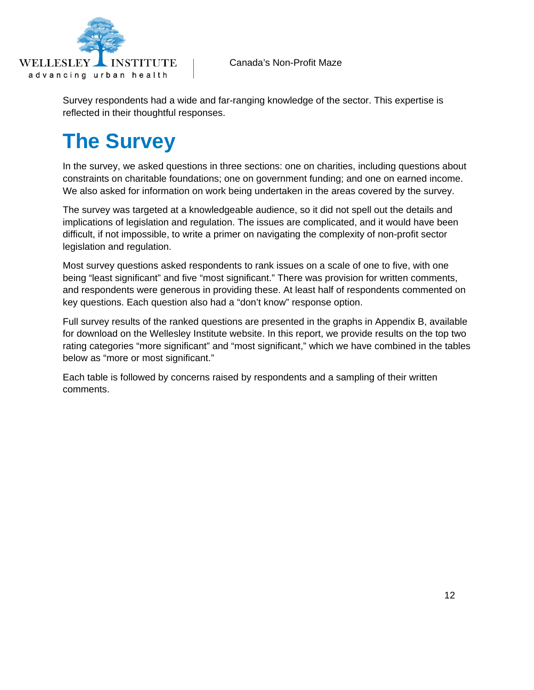<span id="page-12-0"></span>

Survey respondents had a wide and far-ranging knowledge of the sector. This expertise is reflected in their thoughtful responses.

# **The Survey**

In the survey, we asked questions in three sections: one on charities, including questions about constraints on charitable foundations; one on government funding; and one on earned income. We also asked for information on work being undertaken in the areas covered by the survey.

The survey was targeted at a knowledgeable audience, so it did not spell out the details and implications of legislation and regulation. The issues are complicated, and it would have been difficult, if not impossible, to write a primer on navigating the complexity of non-profit sector legislation and regulation.

Most survey questions asked respondents to rank issues on a scale of one to five, with one being "least significant" and five "most significant." There was provision for written comments, and respondents were generous in providing these. At least half of respondents commented on key questions. Each question also had a "don't know" response option.

Full survey results of the ranked questions are presented in the graphs in Appendix B, available for download on the Wellesley Institute website. In this report, we provide results on the top two rating categories "more significant" and "most significant," which we have combined in the tables below as "more or most significant."

Each table is followed by concerns raised by respondents and a sampling of their written comments.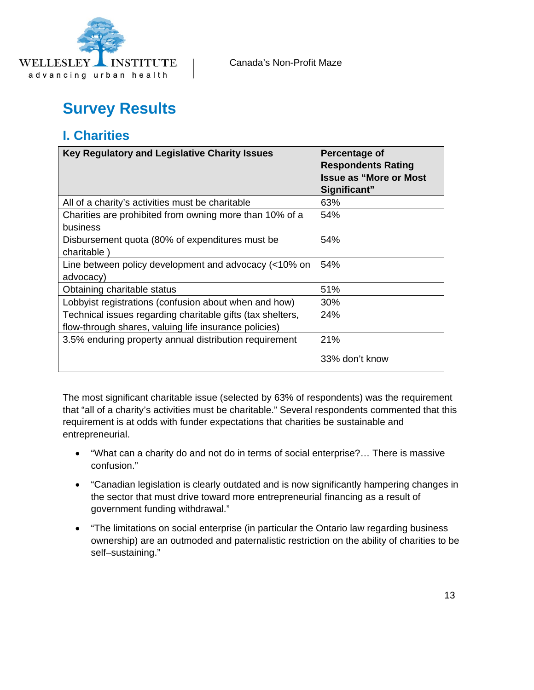<span id="page-13-0"></span>

## **Survey Results**

#### **I. Charities**

| Key Regulatory and Legislative Charity Issues              | Percentage of<br><b>Respondents Rating</b><br><b>Issue as "More or Most</b> |
|------------------------------------------------------------|-----------------------------------------------------------------------------|
|                                                            | Significant"                                                                |
| All of a charity's activities must be charitable           | 63%                                                                         |
| Charities are prohibited from owning more than 10% of a    | 54%                                                                         |
| business                                                   |                                                                             |
| Disbursement quota (80% of expenditures must be            | 54%                                                                         |
| charitable)                                                |                                                                             |
| Line between policy development and advocacy (<10% on      | 54%                                                                         |
| advocacy)                                                  |                                                                             |
| Obtaining charitable status                                | 51%                                                                         |
| Lobbyist registrations (confusion about when and how)      | $30\%$                                                                      |
| Technical issues regarding charitable gifts (tax shelters, | 24%                                                                         |
| flow-through shares, valuing life insurance policies)      |                                                                             |
| 3.5% enduring property annual distribution requirement     | 21%                                                                         |
|                                                            | 33% don't know                                                              |

The most significant charitable issue (selected by 63% of respondents) was the requirement that "all of a charity's activities must be charitable." Several respondents commented that this requirement is at odds with funder expectations that charities be sustainable and entrepreneurial.

- "What can a charity do and not do in terms of social enterprise?… There is massive confusion."
- "Canadian legislation is clearly outdated and is now significantly hampering changes in the sector that must drive toward more entrepreneurial financing as a result of government funding withdrawal."
- "The limitations on social enterprise (in particular the Ontario law regarding business ownership) are an outmoded and paternalistic restriction on the ability of charities to be self–sustaining."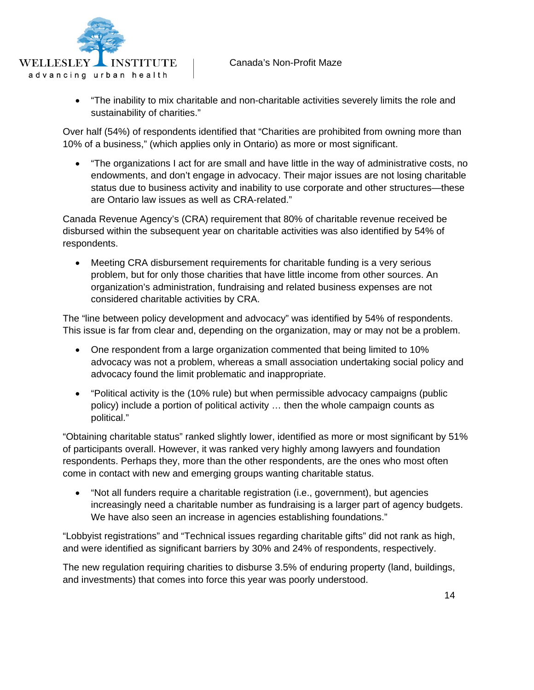

• "The inability to mix charitable and non-charitable activities severely limits the role and sustainability of charities."

Over half (54%) of respondents identified that "Charities are prohibited from owning more than 10% of a business," (which applies only in Ontario) as more or most significant.

• "The organizations I act for are small and have little in the way of administrative costs, no endowments, and don't engage in advocacy. Their major issues are not losing charitable status due to business activity and inability to use corporate and other structures—these are Ontario law issues as well as CRA-related."

Canada Revenue Agency's (CRA) requirement that 80% of charitable revenue received be disbursed within the subsequent year on charitable activities was also identified by 54% of respondents.

• Meeting CRA disbursement requirements for charitable funding is a very serious problem, but for only those charities that have little income from other sources. An organization's administration, fundraising and related business expenses are not considered charitable activities by CRA.

The "line between policy development and advocacy" was identified by 54% of respondents. This issue is far from clear and, depending on the organization, may or may not be a problem.

- One respondent from a large organization commented that being limited to 10% advocacy was not a problem, whereas a small association undertaking social policy and advocacy found the limit problematic and inappropriate.
- "Political activity is the (10% rule) but when permissible advocacy campaigns (public policy) include a portion of political activity … then the whole campaign counts as political."

"Obtaining charitable status" ranked slightly lower, identified as more or most significant by 51% of participants overall. However, it was ranked very highly among lawyers and foundation respondents. Perhaps they, more than the other respondents, are the ones who most often come in contact with new and emerging groups wanting charitable status.

• "Not all funders require a charitable registration (i.e., government), but agencies increasingly need a charitable number as fundraising is a larger part of agency budgets. We have also seen an increase in agencies establishing foundations."

"Lobbyist registrations" and "Technical issues regarding charitable gifts" did not rank as high, and were identified as significant barriers by 30% and 24% of respondents, respectively.

The new regulation requiring charities to disburse 3.5% of enduring property (land, buildings, and investments) that comes into force this year was poorly understood.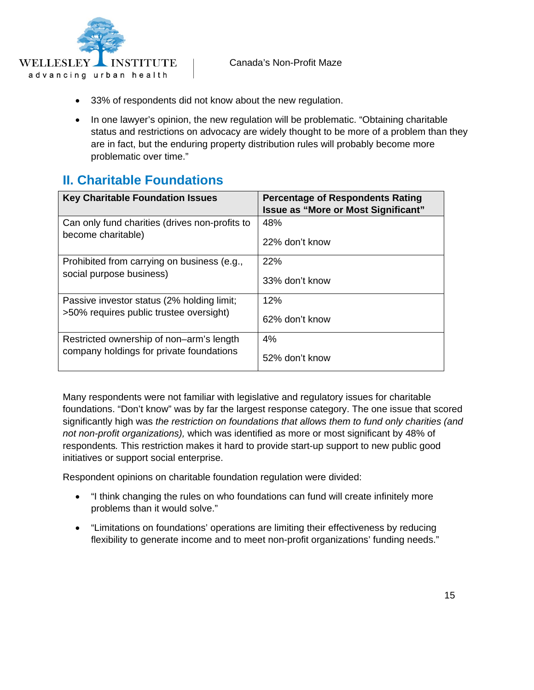<span id="page-15-0"></span>

- 33% of respondents did not know about the new regulation.
- In one lawyer's opinion, the new regulation will be problematic. "Obtaining charitable status and restrictions on advocacy are widely thought to be more of a problem than they are in fact, but the enduring property distribution rules will probably become more problematic over time."

#### **II. Charitable Foundations**

| <b>Key Charitable Foundation Issues</b>        | <b>Percentage of Respondents Rating</b><br><b>Issue as "More or Most Significant"</b> |
|------------------------------------------------|---------------------------------------------------------------------------------------|
| Can only fund charities (drives non-profits to | 48%                                                                                   |
| become charitable)                             | 22% don't know                                                                        |
| Prohibited from carrying on business (e.g.,    | 22%                                                                                   |
| social purpose business)                       | 33% don't know                                                                        |
| Passive investor status (2% holding limit;     | 12%                                                                                   |
| >50% requires public trustee oversight)        | 62% don't know                                                                        |
| Restricted ownership of non-arm's length       | 4%                                                                                    |
| company holdings for private foundations       | 52% don't know                                                                        |

Many respondents were not familiar with legislative and regulatory issues for charitable foundations. "Don't know" was by far the largest response category. The one issue that scored significantly high was *the restriction on foundations that allows them to fund only charities (and not non-profit organizations),* which was identified as more or most significant by 48% of respondents*.* This restriction makes it hard to provide start-up support to new public good initiatives or support social enterprise.

Respondent opinions on charitable foundation regulation were divided:

- "I think changing the rules on who foundations can fund will create infinitely more problems than it would solve."
- "Limitations on foundations' operations are limiting their effectiveness by reducing flexibility to generate income and to meet non-profit organizations' funding needs."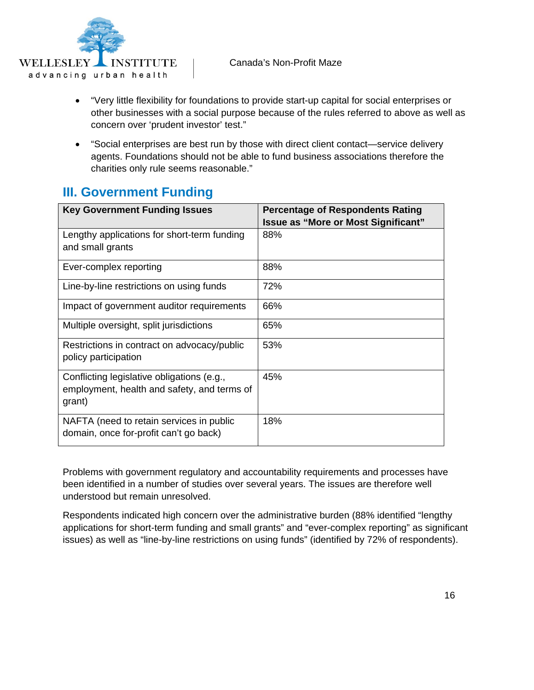<span id="page-16-0"></span>

- "Very little flexibility for foundations to provide start-up capital for social enterprises or other businesses with a social purpose because of the rules referred to above as well as concern over 'prudent investor' test."
- "Social enterprises are best run by those with direct client contact—service delivery agents. Foundations should not be able to fund business associations therefore the charities only rule seems reasonable."

#### **III. Government Funding**

| <b>Key Government Funding Issues</b>                                                                | <b>Percentage of Respondents Rating</b><br><b>Issue as "More or Most Significant"</b> |
|-----------------------------------------------------------------------------------------------------|---------------------------------------------------------------------------------------|
| Lengthy applications for short-term funding<br>and small grants                                     | 88%                                                                                   |
| Ever-complex reporting                                                                              | 88%                                                                                   |
| Line-by-line restrictions on using funds                                                            | 72%                                                                                   |
| Impact of government auditor requirements                                                           | 66%                                                                                   |
| Multiple oversight, split jurisdictions                                                             | 65%                                                                                   |
| Restrictions in contract on advocacy/public<br>policy participation                                 | 53%                                                                                   |
| Conflicting legislative obligations (e.g.,<br>employment, health and safety, and terms of<br>grant) | 45%                                                                                   |
| NAFTA (need to retain services in public<br>domain, once for-profit can't go back)                  | 18%                                                                                   |

Problems with government regulatory and accountability requirements and processes have been identified in a number of studies over several years. The issues are therefore well understood but remain unresolved.

Respondents indicated high concern over the administrative burden (88% identified "lengthy applications for short-term funding and small grants" and "ever-complex reporting" as significant issues) as well as "line-by-line restrictions on using funds" (identified by 72% of respondents).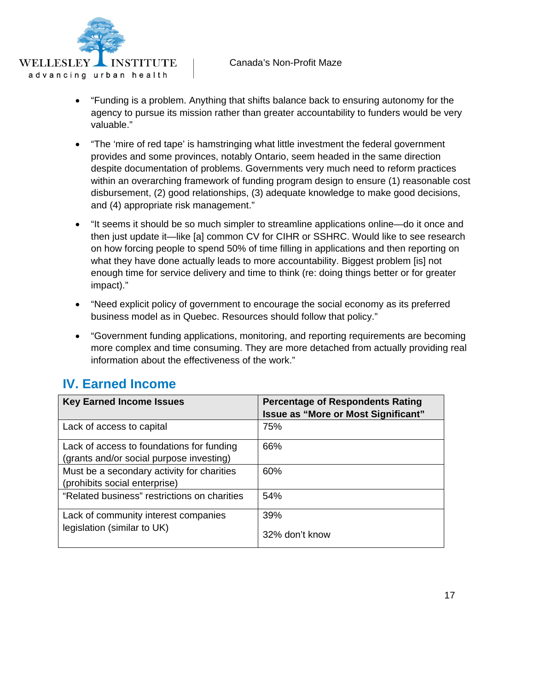<span id="page-17-0"></span>

- "Funding is a problem. Anything that shifts balance back to ensuring autonomy for the agency to pursue its mission rather than greater accountability to funders would be very valuable."
- "The 'mire of red tape' is hamstringing what little investment the federal government provides and some provinces, notably Ontario, seem headed in the same direction despite documentation of problems. Governments very much need to reform practices within an overarching framework of funding program design to ensure (1) reasonable cost disbursement, (2) good relationships, (3) adequate knowledge to make good decisions, and (4) appropriate risk management."
- "It seems it should be so much simpler to streamline applications online—do it once and then just update it—like [a] common CV for CIHR or SSHRC. Would like to see research on how forcing people to spend 50% of time filling in applications and then reporting on what they have done actually leads to more accountability. Biggest problem [is] not enough time for service delivery and time to think (re: doing things better or for greater impact)."
- "Need explicit policy of government to encourage the social economy as its preferred business model as in Quebec. Resources should follow that policy."
- "Government funding applications, monitoring, and reporting requirements are becoming more complex and time consuming. They are more detached from actually providing real information about the effectiveness of the work."

#### **IV. Earned Income**

| <b>Key Earned Income Issues</b>                                                       | <b>Percentage of Respondents Rating</b><br>Issue as "More or Most Significant" |
|---------------------------------------------------------------------------------------|--------------------------------------------------------------------------------|
| Lack of access to capital                                                             | 75%                                                                            |
| Lack of access to foundations for funding<br>(grants and/or social purpose investing) | 66%                                                                            |
| Must be a secondary activity for charities<br>(prohibits social enterprise)           | 60%                                                                            |
| "Related business" restrictions on charities                                          | 54%                                                                            |
| Lack of community interest companies                                                  | 39%                                                                            |
| legislation (similar to UK)                                                           | 32% don't know                                                                 |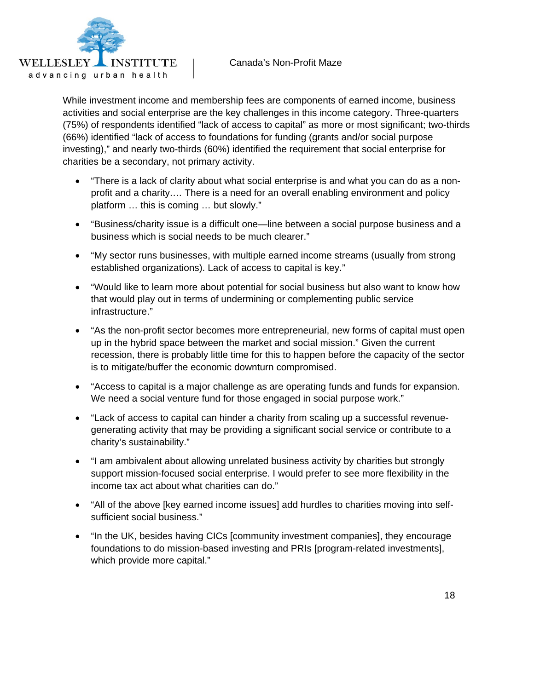

While investment income and membership fees are components of earned income, business activities and social enterprise are the key challenges in this income category. Three-quarters (75%) of respondents identified "lack of access to capital" as more or most significant; two-thirds (66%) identified "lack of access to foundations for funding (grants and/or social purpose investing)," and nearly two-thirds (60%) identified the requirement that social enterprise for charities be a secondary, not primary activity.

- "There is a lack of clarity about what social enterprise is and what you can do as a nonprofit and a charity.… There is a need for an overall enabling environment and policy platform … this is coming … but slowly."
- "Business/charity issue is a difficult one—line between a social purpose business and a business which is social needs to be much clearer."
- "My sector runs businesses, with multiple earned income streams (usually from strong established organizations). Lack of access to capital is key."
- "Would like to learn more about potential for social business but also want to know how that would play out in terms of undermining or complementing public service infrastructure."
- "As the non-profit sector becomes more entrepreneurial, new forms of capital must open up in the hybrid space between the market and social mission." Given the current recession, there is probably little time for this to happen before the capacity of the sector is to mitigate/buffer the economic downturn compromised.
- "Access to capital is a major challenge as are operating funds and funds for expansion. We need a social venture fund for those engaged in social purpose work."
- "Lack of access to capital can hinder a charity from scaling up a successful revenuegenerating activity that may be providing a significant social service or contribute to a charity's sustainability."
- "I am ambivalent about allowing unrelated business activity by charities but strongly support mission-focused social enterprise. I would prefer to see more flexibility in the income tax act about what charities can do."
- "All of the above [key earned income issues] add hurdles to charities moving into selfsufficient social business."
- "In the UK, besides having CICs [community investment companies], they encourage foundations to do mission-based investing and PRIs [program-related investments], which provide more capital."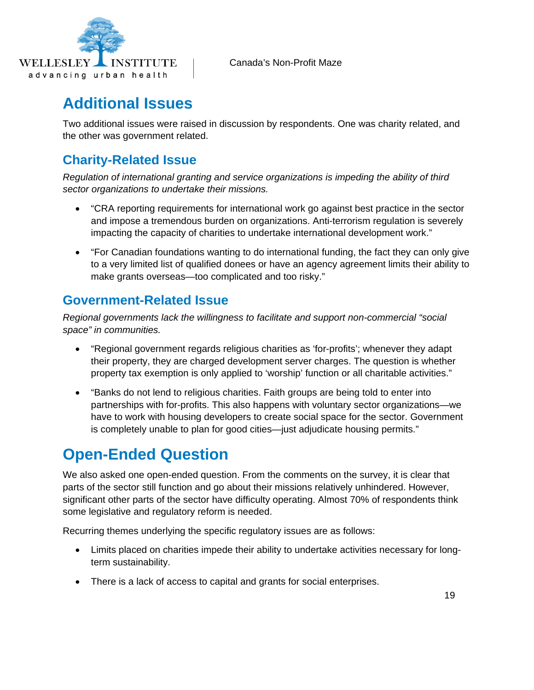<span id="page-19-0"></span>

## **Additional Issues**

Two additional issues were raised in discussion by respondents. One was charity related, and the other was government related.

#### **Charity-Related Issue**

*Regulation of international granting and service organizations is impeding the ability of third sector organizations to undertake their missions.* 

- "CRA reporting requirements for international work go against best practice in the sector and impose a tremendous burden on organizations. Anti-terrorism regulation is severely impacting the capacity of charities to undertake international development work."
- "For Canadian foundations wanting to do international funding, the fact they can only give to a very limited list of qualified donees or have an agency agreement limits their ability to make grants overseas—too complicated and too risky."

#### **Government-Related Issue**

*Regional governments lack the willingness to facilitate and support non-commercial "social space" in communities.* 

- "Regional government regards religious charities as 'for-profits'; whenever they adapt their property, they are charged development server charges. The question is whether property tax exemption is only applied to 'worship' function or all charitable activities."
- "Banks do not lend to religious charities. Faith groups are being told to enter into partnerships with for-profits. This also happens with voluntary sector organizations—we have to work with housing developers to create social space for the sector. Government is completely unable to plan for good cities—just adjudicate housing permits."

## **Open-Ended Question**

We also asked one open-ended question. From the comments on the survey, it is clear that parts of the sector still function and go about their missions relatively unhindered. However, significant other parts of the sector have difficulty operating. Almost 70% of respondents think some legislative and regulatory reform is needed.

Recurring themes underlying the specific regulatory issues are as follows:

- Limits placed on charities impede their ability to undertake activities necessary for longterm sustainability.
- There is a lack of access to capital and grants for social enterprises.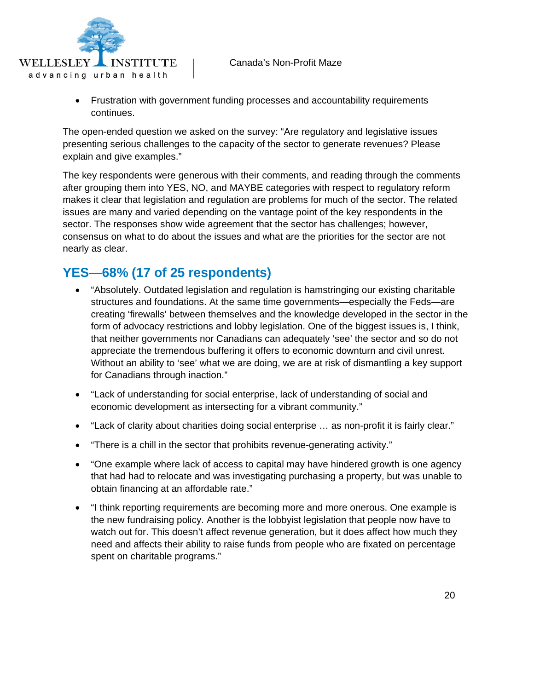

• Frustration with government funding processes and accountability requirements continues.

The open-ended question we asked on the survey: "Are regulatory and legislative issues presenting serious challenges to the capacity of the sector to generate revenues? Please explain and give examples."

The key respondents were generous with their comments, and reading through the comments after grouping them into YES, NO, and MAYBE categories with respect to regulatory reform makes it clear that legislation and regulation are problems for much of the sector. The related issues are many and varied depending on the vantage point of the key respondents in the sector. The responses show wide agreement that the sector has challenges; however, consensus on what to do about the issues and what are the priorities for the sector are not nearly as clear.

#### **YES—68% (17 of 25 respondents)**

- "Absolutely. Outdated legislation and regulation is hamstringing our existing charitable structures and foundations. At the same time governments—especially the Feds—are creating 'firewalls' between themselves and the knowledge developed in the sector in the form of advocacy restrictions and lobby legislation. One of the biggest issues is, I think, that neither governments nor Canadians can adequately 'see' the sector and so do not appreciate the tremendous buffering it offers to economic downturn and civil unrest. Without an ability to 'see' what we are doing, we are at risk of dismantling a key support for Canadians through inaction."
- "Lack of understanding for social enterprise, lack of understanding of social and economic development as intersecting for a vibrant community."
- "Lack of clarity about charities doing social enterprise … as non-profit it is fairly clear."
- "There is a chill in the sector that prohibits revenue-generating activity."
- "One example where lack of access to capital may have hindered growth is one agency that had had to relocate and was investigating purchasing a property, but was unable to obtain financing at an affordable rate."
- "I think reporting requirements are becoming more and more onerous. One example is the new fundraising policy. Another is the lobbyist legislation that people now have to watch out for. This doesn't affect revenue generation, but it does affect how much they need and affects their ability to raise funds from people who are fixated on percentage spent on charitable programs."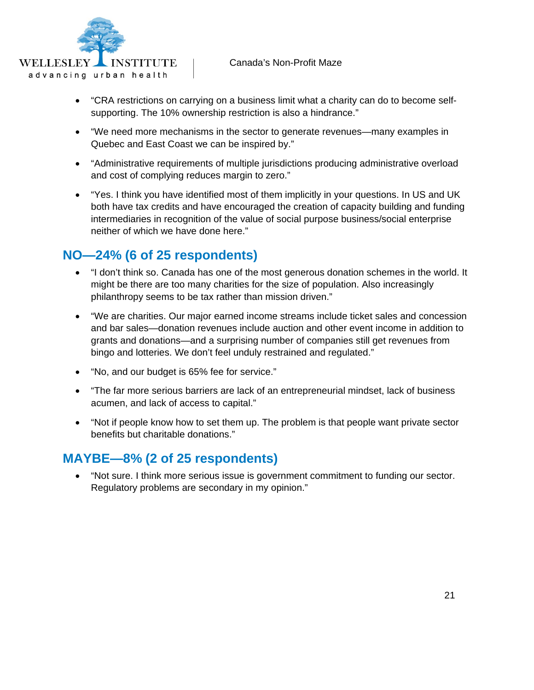

- "CRA restrictions on carrying on a business limit what a charity can do to become selfsupporting. The 10% ownership restriction is also a hindrance."
- "We need more mechanisms in the sector to generate revenues—many examples in Quebec and East Coast we can be inspired by."
- "Administrative requirements of multiple jurisdictions producing administrative overload and cost of complying reduces margin to zero."
- "Yes. I think you have identified most of them implicitly in your questions. In US and UK both have tax credits and have encouraged the creation of capacity building and funding intermediaries in recognition of the value of social purpose business/social enterprise neither of which we have done here."

#### **NO—24% (6 of 25 respondents)**

- "I don't think so. Canada has one of the most generous donation schemes in the world. It might be there are too many charities for the size of population. Also increasingly philanthropy seems to be tax rather than mission driven."
- "We are charities. Our major earned income streams include ticket sales and concession and bar sales—donation revenues include auction and other event income in addition to grants and donations—and a surprising number of companies still get revenues from bingo and lotteries. We don't feel unduly restrained and regulated."
- "No, and our budget is 65% fee for service."
- "The far more serious barriers are lack of an entrepreneurial mindset, lack of business acumen, and lack of access to capital."
- "Not if people know how to set them up. The problem is that people want private sector benefits but charitable donations."

#### **MAYBE—8% (2 of 25 respondents)**

• "Not sure. I think more serious issue is government commitment to funding our sector. Regulatory problems are secondary in my opinion."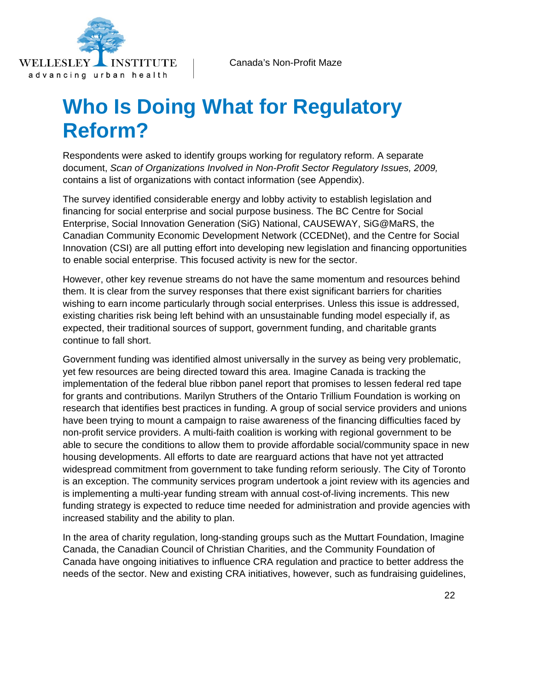<span id="page-22-0"></span>

# **Who Is Doing What for Regulatory Reform?**

Respondents were asked to identify groups working for regulatory reform. A separate document, *Scan of Organizations Involved in Non-Profit Sector Regulatory Issues, 2009,*  contains a list of organizations with contact information (see Appendix).

The survey identified considerable energy and lobby activity to establish legislation and financing for social enterprise and social purpose business. The BC Centre for Social Enterprise, Social Innovation Generation (SiG) National, CAUSEWAY, SiG@MaRS, the Canadian Community Economic Development Network (CCEDNet), and the Centre for Social Innovation (CSI) are all putting effort into developing new legislation and financing opportunities to enable social enterprise. This focused activity is new for the sector.

However, other key revenue streams do not have the same momentum and resources behind them. It is clear from the survey responses that there exist significant barriers for charities wishing to earn income particularly through social enterprises. Unless this issue is addressed, existing charities risk being left behind with an unsustainable funding model especially if, as expected, their traditional sources of support, government funding, and charitable grants continue to fall short.

Government funding was identified almost universally in the survey as being very problematic, yet few resources are being directed toward this area. Imagine Canada is tracking the implementation of the federal blue ribbon panel report that promises to lessen federal red tape for grants and contributions. Marilyn Struthers of the Ontario Trillium Foundation is working on research that identifies best practices in funding. A group of social service providers and unions have been trying to mount a campaign to raise awareness of the financing difficulties faced by non-profit service providers. A multi-faith coalition is working with regional government to be able to secure the conditions to allow them to provide affordable social/community space in new housing developments. All efforts to date are rearguard actions that have not yet attracted widespread commitment from government to take funding reform seriously. The City of Toronto is an exception. The community services program undertook a joint review with its agencies and is implementing a multi-year funding stream with annual cost-of-living increments. This new funding strategy is expected to reduce time needed for administration and provide agencies with increased stability and the ability to plan.

In the area of charity regulation, long-standing groups such as the Muttart Foundation, Imagine Canada, the Canadian Council of Christian Charities, and the Community Foundation of Canada have ongoing initiatives to influence CRA regulation and practice to better address the needs of the sector. New and existing CRA initiatives, however, such as fundraising guidelines,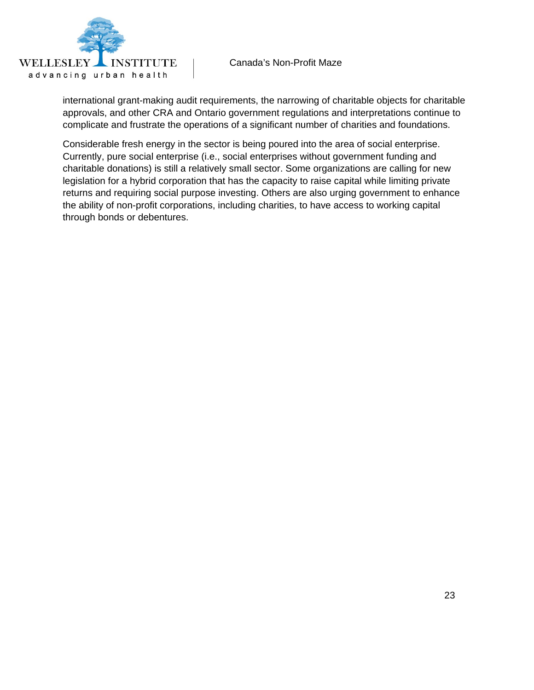

international grant-making audit requirements, the narrowing of charitable objects for charitable approvals, and other CRA and Ontario government regulations and interpretations continue to complicate and frustrate the operations of a significant number of charities and foundations.

Considerable fresh energy in the sector is being poured into the area of social enterprise. Currently, pure social enterprise (i.e., social enterprises without government funding and charitable donations) is still a relatively small sector. Some organizations are calling for new legislation for a hybrid corporation that has the capacity to raise capital while limiting private returns and requiring social purpose investing. Others are also urging government to enhance the ability of non-profit corporations, including charities, to have access to working capital through bonds or debentures.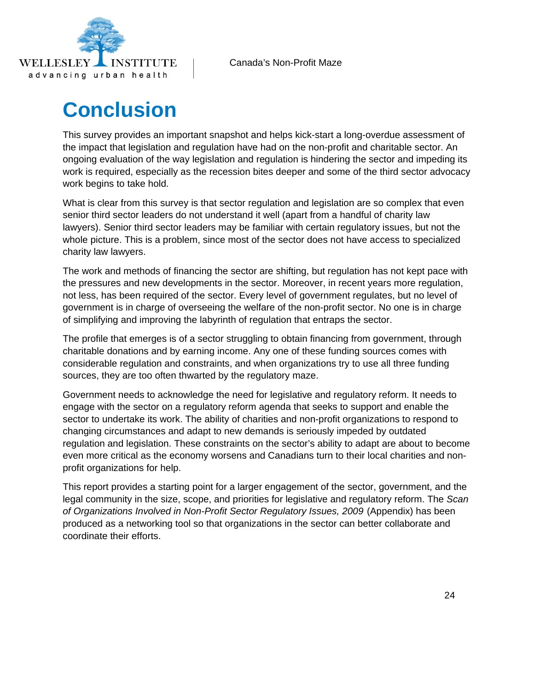<span id="page-24-0"></span>

# **Conclusion**

This survey provides an important snapshot and helps kick-start a long-overdue assessment of the impact that legislation and regulation have had on the non-profit and charitable sector. An ongoing evaluation of the way legislation and regulation is hindering the sector and impeding its work is required, especially as the recession bites deeper and some of the third sector advocacy work begins to take hold.

What is clear from this survey is that sector regulation and legislation are so complex that even senior third sector leaders do not understand it well (apart from a handful of charity law lawyers). Senior third sector leaders may be familiar with certain regulatory issues, but not the whole picture. This is a problem, since most of the sector does not have access to specialized charity law lawyers.

The work and methods of financing the sector are shifting, but regulation has not kept pace with the pressures and new developments in the sector. Moreover, in recent years more regulation, not less, has been required of the sector. Every level of government regulates, but no level of government is in charge of overseeing the welfare of the non-profit sector. No one is in charge of simplifying and improving the labyrinth of regulation that entraps the sector.

The profile that emerges is of a sector struggling to obtain financing from government, through charitable donations and by earning income. Any one of these funding sources comes with considerable regulation and constraints, and when organizations try to use all three funding sources, they are too often thwarted by the regulatory maze.

Government needs to acknowledge the need for legislative and regulatory reform. It needs to engage with the sector on a regulatory reform agenda that seeks to support and enable the sector to undertake its work. The ability of charities and non-profit organizations to respond to changing circumstances and adapt to new demands is seriously impeded by outdated regulation and legislation. These constraints on the sector's ability to adapt are about to become even more critical as the economy worsens and Canadians turn to their local charities and nonprofit organizations for help.

This report provides a starting point for a larger engagement of the sector, government, and the legal community in the size, scope, and priorities for legislative and regulatory reform. The *Scan of Organizations Involved in Non-Profit Sector Regulatory Issues, 2009* (Appendix) has been produced as a networking tool so that organizations in the sector can better collaborate and coordinate their efforts.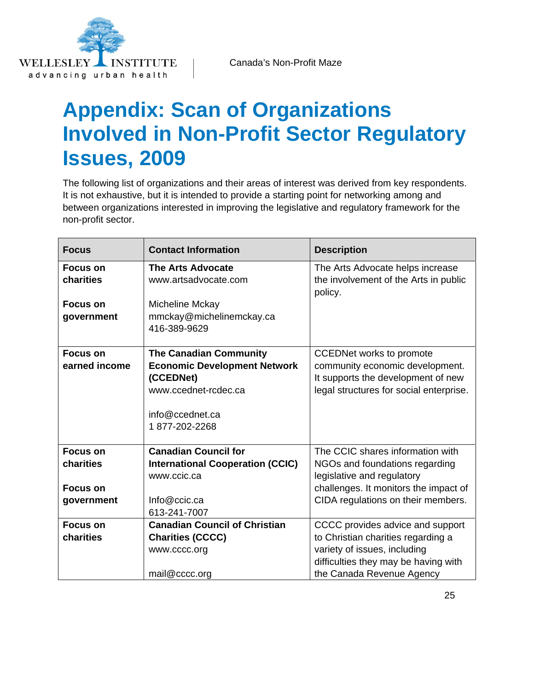<span id="page-25-0"></span>

# **Appendix: Scan of Organizations Involved in Non-Profit Sector Regulatory Issues, 2009**

The following list of organizations and their areas of interest was derived from key respondents. It is not exhaustive, but it is intended to provide a starting point for networking among and between organizations interested in improving the legislative and regulatory framework for the non-profit sector.

| <b>Focus</b>    | <b>Contact Information</b>              | <b>Description</b>                               |
|-----------------|-----------------------------------------|--------------------------------------------------|
| <b>Focus on</b> | <b>The Arts Advocate</b>                | The Arts Advocate helps increase                 |
| charities       | www.artsadvocate.com                    | the involvement of the Arts in public<br>policy. |
| Focus on        | Micheline Mckay                         |                                                  |
| government      | mmckay@michelinemckay.ca                |                                                  |
|                 | 416-389-9629                            |                                                  |
|                 |                                         |                                                  |
| <b>Focus on</b> | <b>The Canadian Community</b>           | <b>CCEDNet works to promote</b>                  |
| earned income   | <b>Economic Development Network</b>     | community economic development.                  |
|                 | (CCEDNet)                               | It supports the development of new               |
|                 | www.ccednet-rcdec.ca                    | legal structures for social enterprise.          |
|                 | info@ccednet.ca                         |                                                  |
|                 | 1877-202-2268                           |                                                  |
|                 |                                         |                                                  |
| <b>Focus on</b> | <b>Canadian Council for</b>             | The CCIC shares information with                 |
| charities       | <b>International Cooperation (CCIC)</b> | NGOs and foundations regarding                   |
|                 | www.ccic.ca                             | legislative and regulatory                       |
| <b>Focus on</b> |                                         | challenges. It monitors the impact of            |
| government      | Info@ccic.ca                            | CIDA regulations on their members.               |
|                 | 613-241-7007                            |                                                  |
| <b>Focus on</b> | <b>Canadian Council of Christian</b>    | CCCC provides advice and support                 |
| charities       | <b>Charities (CCCC)</b>                 | to Christian charities regarding a               |
|                 | www.cccc.org                            | variety of issues, including                     |
|                 |                                         | difficulties they may be having with             |
|                 | mail@cccc.org                           | the Canada Revenue Agency                        |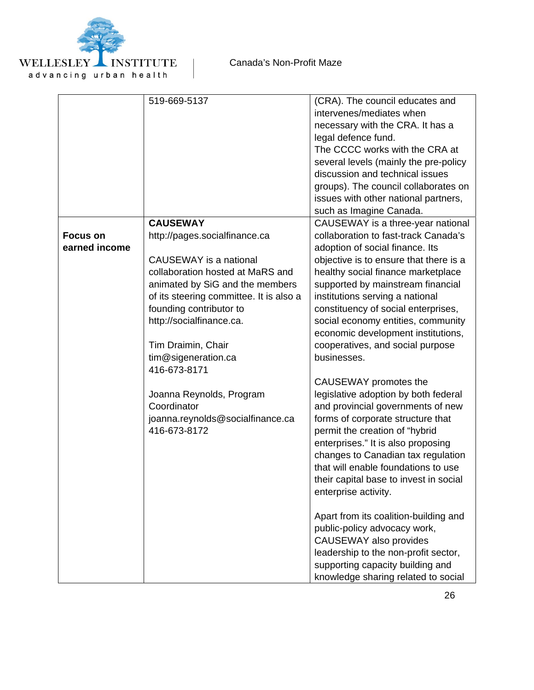

|                 | 519-669-5137                            | (CRA). The council educates and                 |
|-----------------|-----------------------------------------|-------------------------------------------------|
|                 |                                         | intervenes/mediates when                        |
|                 |                                         | necessary with the CRA. It has a                |
|                 |                                         | legal defence fund.                             |
|                 |                                         | The CCCC works with the CRA at                  |
|                 |                                         | several levels (mainly the pre-policy           |
|                 |                                         | discussion and technical issues                 |
|                 |                                         | groups). The council collaborates on            |
|                 |                                         | issues with other national partners,            |
|                 |                                         | such as Imagine Canada.                         |
|                 | <b>CAUSEWAY</b>                         | CAUSEWAY is a three-year national               |
| <b>Focus on</b> | http://pages.socialfinance.ca           | collaboration to fast-track Canada's            |
| earned income   |                                         | adoption of social finance. Its                 |
|                 | CAUSEWAY is a national                  | objective is to ensure that there is a          |
|                 | collaboration hosted at MaRS and        | healthy social finance marketplace              |
|                 | animated by SiG and the members         | supported by mainstream financial               |
|                 | of its steering committee. It is also a | institutions serving a national                 |
|                 | founding contributor to                 | constituency of social enterprises,             |
|                 | http://socialfinance.ca.                | social economy entities, community              |
|                 |                                         | economic development institutions,              |
|                 | Tim Draimin, Chair                      |                                                 |
|                 |                                         | cooperatives, and social purpose<br>businesses. |
|                 | tim@sigeneration.ca<br>416-673-8171     |                                                 |
|                 |                                         |                                                 |
|                 |                                         | CAUSEWAY promotes the                           |
|                 | Joanna Reynolds, Program                | legislative adoption by both federal            |
|                 | Coordinator                             | and provincial governments of new               |
|                 | joanna.reynolds@socialfinance.ca        | forms of corporate structure that               |
|                 | 416-673-8172                            | permit the creation of "hybrid                  |
|                 |                                         | enterprises." It is also proposing              |
|                 |                                         | changes to Canadian tax regulation              |
|                 |                                         | that will enable foundations to use             |
|                 |                                         | their capital base to invest in social          |
|                 |                                         | enterprise activity.                            |
|                 |                                         |                                                 |
|                 |                                         | Apart from its coalition-building and           |
|                 |                                         | public-policy advocacy work,                    |
|                 |                                         | <b>CAUSEWAY</b> also provides                   |
|                 |                                         | leadership to the non-profit sector,            |
|                 |                                         | supporting capacity building and                |
|                 |                                         | knowledge sharing related to social             |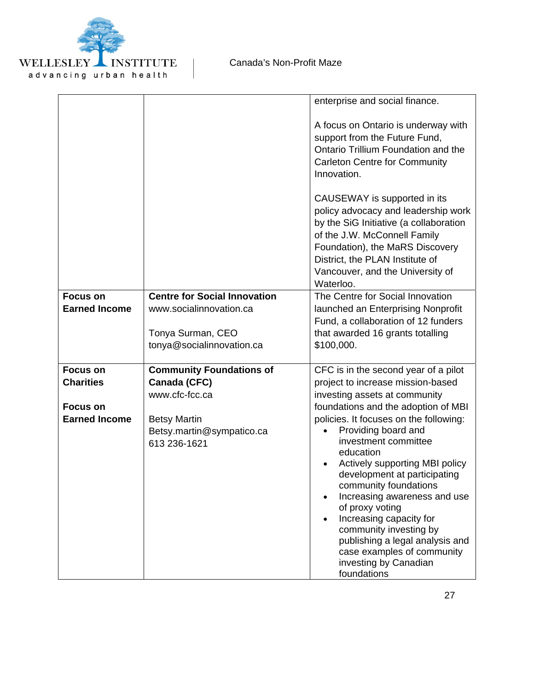

|                      |                                           | enterprise and social finance.                                                                                                                                                                                                                                                                                                                                       |
|----------------------|-------------------------------------------|----------------------------------------------------------------------------------------------------------------------------------------------------------------------------------------------------------------------------------------------------------------------------------------------------------------------------------------------------------------------|
|                      |                                           | A focus on Ontario is underway with<br>support from the Future Fund,<br>Ontario Trillium Foundation and the<br><b>Carleton Centre for Community</b><br>Innovation.                                                                                                                                                                                                   |
|                      |                                           | CAUSEWAY is supported in its<br>policy advocacy and leadership work<br>by the SiG Initiative (a collaboration<br>of the J.W. McConnell Family<br>Foundation), the MaRS Discovery<br>District, the PLAN Institute of<br>Vancouver, and the University of<br>Waterloo.                                                                                                 |
| <b>Focus on</b>      | <b>Centre for Social Innovation</b>       | The Centre for Social Innovation                                                                                                                                                                                                                                                                                                                                     |
| <b>Earned Income</b> | www.socialinnovation.ca                   | launched an Enterprising Nonprofit                                                                                                                                                                                                                                                                                                                                   |
|                      |                                           | Fund, a collaboration of 12 funders                                                                                                                                                                                                                                                                                                                                  |
|                      | Tonya Surman, CEO                         | that awarded 16 grants totalling                                                                                                                                                                                                                                                                                                                                     |
|                      | tonya@socialinnovation.ca                 | \$100,000.                                                                                                                                                                                                                                                                                                                                                           |
| <b>Focus on</b>      | <b>Community Foundations of</b>           | CFC is in the second year of a pilot                                                                                                                                                                                                                                                                                                                                 |
| <b>Charities</b>     | Canada (CFC)                              | project to increase mission-based                                                                                                                                                                                                                                                                                                                                    |
|                      | www.cfc-fcc.ca                            | investing assets at community                                                                                                                                                                                                                                                                                                                                        |
| <b>Focus on</b>      |                                           | foundations and the adoption of MBI                                                                                                                                                                                                                                                                                                                                  |
| <b>Earned Income</b> | <b>Betsy Martin</b>                       | policies. It focuses on the following:                                                                                                                                                                                                                                                                                                                               |
|                      | Betsy.martin@sympatico.ca<br>613 236-1621 | Providing board and<br>investment committee<br>education<br>Actively supporting MBI policy<br>development at participating<br>community foundations<br>Increasing awareness and use<br>of proxy voting<br>Increasing capacity for<br>community investing by<br>publishing a legal analysis and<br>case examples of community<br>investing by Canadian<br>foundations |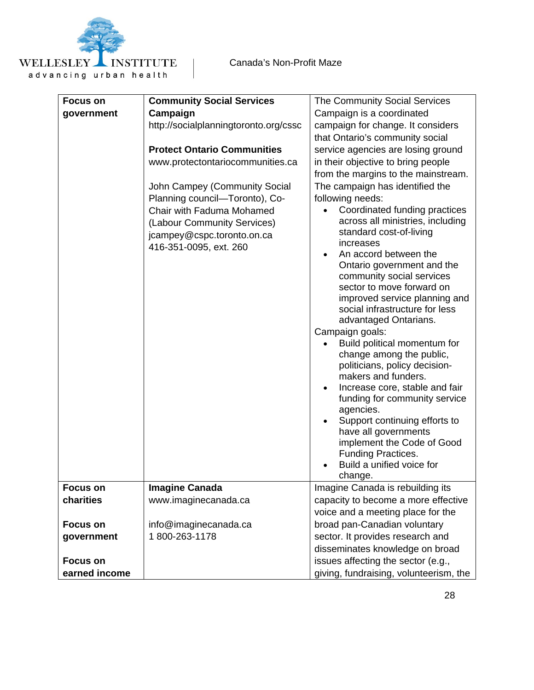

| <b>Focus on</b> | <b>Community Social Services</b>      | The Community Social Services                                   |
|-----------------|---------------------------------------|-----------------------------------------------------------------|
| government      | Campaign                              | Campaign is a coordinated                                       |
|                 | http://socialplanningtoronto.org/cssc | campaign for change. It considers                               |
|                 |                                       | that Ontario's community social                                 |
|                 | <b>Protect Ontario Communities</b>    | service agencies are losing ground                              |
|                 | www.protectontariocommunities.ca      | in their objective to bring people                              |
|                 |                                       | from the margins to the mainstream.                             |
|                 | John Campey (Community Social         | The campaign has identified the                                 |
|                 | Planning council-Toronto), Co-        | following needs:                                                |
|                 | Chair with Faduma Mohamed             | Coordinated funding practices                                   |
|                 | (Labour Community Services)           | across all ministries, including                                |
|                 | jcampey@cspc.toronto.on.ca            | standard cost-of-living                                         |
|                 | 416-351-0095, ext. 260                | increases                                                       |
|                 |                                       | An accord between the                                           |
|                 |                                       | Ontario government and the                                      |
|                 |                                       | community social services                                       |
|                 |                                       | sector to move forward on                                       |
|                 |                                       | improved service planning and<br>social infrastructure for less |
|                 |                                       | advantaged Ontarians.                                           |
|                 |                                       | Campaign goals:                                                 |
|                 |                                       | Build political momentum for                                    |
|                 |                                       | change among the public,                                        |
|                 |                                       | politicians, policy decision-                                   |
|                 |                                       | makers and funders.                                             |
|                 |                                       | Increase core, stable and fair<br>٠                             |
|                 |                                       | funding for community service                                   |
|                 |                                       | agencies.                                                       |
|                 |                                       | Support continuing efforts to                                   |
|                 |                                       | have all governments                                            |
|                 |                                       | implement the Code of Good                                      |
|                 |                                       | Funding Practices.                                              |
|                 |                                       | Build a unified voice for                                       |
| Focus on        | <b>Imagine Canada</b>                 | change.<br>Imagine Canada is rebuilding its                     |
| charities       | www.imaginecanada.ca                  | capacity to become a more effective                             |
|                 |                                       | voice and a meeting place for the                               |
| <b>Focus on</b> | info@imaginecanada.ca                 | broad pan-Canadian voluntary                                    |
| government      | 1800-263-1178                         | sector. It provides research and                                |
|                 |                                       | disseminates knowledge on broad                                 |
| <b>Focus on</b> |                                       | issues affecting the sector (e.g.,                              |
| earned income   |                                       | giving, fundraising, volunteerism, the                          |
|                 |                                       |                                                                 |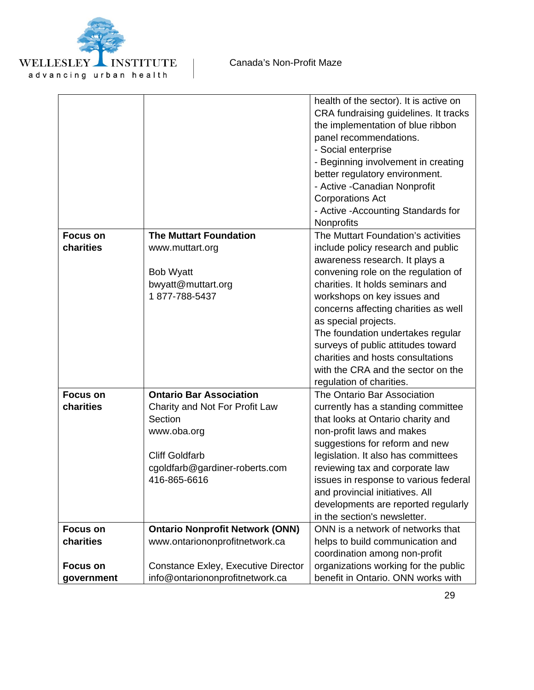

|                 |                                        | health of the sector). It is active on |
|-----------------|----------------------------------------|----------------------------------------|
|                 |                                        | CRA fundraising guidelines. It tracks  |
|                 |                                        | the implementation of blue ribbon      |
|                 |                                        | panel recommendations.                 |
|                 |                                        | - Social enterprise                    |
|                 |                                        | - Beginning involvement in creating    |
|                 |                                        | better regulatory environment.         |
|                 |                                        | - Active - Canadian Nonprofit          |
|                 |                                        | <b>Corporations Act</b>                |
|                 |                                        | - Active - Accounting Standards for    |
|                 |                                        | Nonprofits                             |
| <b>Focus on</b> | <b>The Muttart Foundation</b>          | The Muttart Foundation's activities    |
| charities       | www.muttart.org                        | include policy research and public     |
|                 |                                        | awareness research. It plays a         |
|                 | <b>Bob Wyatt</b>                       | convening role on the regulation of    |
|                 | bwyatt@muttart.org                     | charities. It holds seminars and       |
|                 | 1877-788-5437                          | workshops on key issues and            |
|                 |                                        | concerns affecting charities as well   |
|                 |                                        | as special projects.                   |
|                 |                                        | The foundation undertakes regular      |
|                 |                                        | surveys of public attitudes toward     |
|                 |                                        | charities and hosts consultations      |
|                 |                                        | with the CRA and the sector on the     |
|                 |                                        | regulation of charities.               |
| <b>Focus on</b> | <b>Ontario Bar Association</b>         | The Ontario Bar Association            |
| charities       | Charity and Not For Profit Law         | currently has a standing committee     |
|                 | Section                                | that looks at Ontario charity and      |
|                 | www.oba.org                            | non-profit laws and makes              |
|                 |                                        | suggestions for reform and new         |
|                 | <b>Cliff Goldfarb</b>                  | legislation. It also has committees    |
|                 | cgoldfarb@gardiner-roberts.com         | reviewing tax and corporate law        |
|                 | 416-865-6616                           | issues in response to various federal  |
|                 |                                        | and provincial initiatives. All        |
|                 |                                        | developments are reported regularly    |
|                 |                                        | in the section's newsletter.           |
| <b>Focus on</b> | <b>Ontario Nonprofit Network (ONN)</b> | ONN is a network of networks that      |
| charities       | www.ontariononprofitnetwork.ca         | helps to build communication and       |
|                 |                                        | coordination among non-profit          |
| <b>Focus on</b> | Constance Exley, Executive Director    | organizations working for the public   |
| government      | info@ontariononprofitnetwork.ca        | benefit in Ontario. ONN works with     |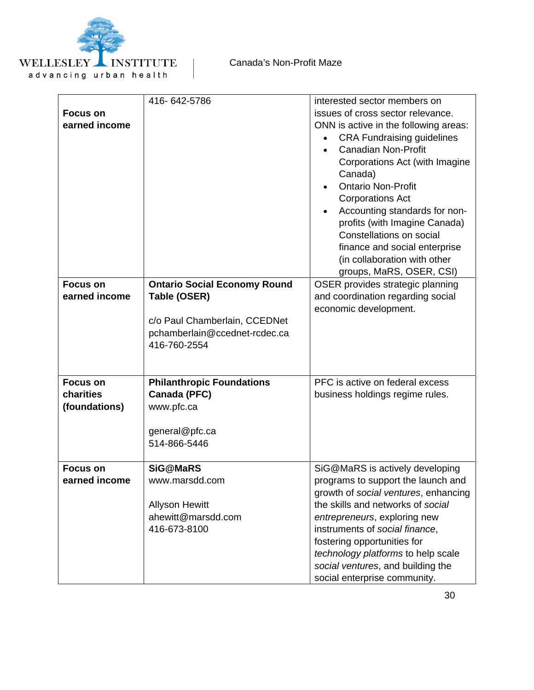

| <b>Focus on</b><br>earned income<br><b>Focus on</b><br>earned income | 416-642-5786<br><b>Ontario Social Economy Round</b><br>Table (OSER)<br>c/o Paul Chamberlain, CCEDNet<br>pchamberlain@ccednet-rcdec.ca<br>416-760-2554 | interested sector members on<br>issues of cross sector relevance.<br>ONN is active in the following areas:<br><b>CRA Fundraising guidelines</b><br><b>Canadian Non-Profit</b><br>Corporations Act (with Imagine<br>Canada)<br><b>Ontario Non-Profit</b><br><b>Corporations Act</b><br>Accounting standards for non-<br>profits (with Imagine Canada)<br>Constellations on social<br>finance and social enterprise<br>(in collaboration with other<br>groups, MaRS, OSER, CSI)<br>OSER provides strategic planning<br>and coordination regarding social<br>economic development. |
|----------------------------------------------------------------------|-------------------------------------------------------------------------------------------------------------------------------------------------------|---------------------------------------------------------------------------------------------------------------------------------------------------------------------------------------------------------------------------------------------------------------------------------------------------------------------------------------------------------------------------------------------------------------------------------------------------------------------------------------------------------------------------------------------------------------------------------|
| <b>Focus on</b><br>charities<br>(foundations)                        | <b>Philanthropic Foundations</b><br>Canada (PFC)<br>www.pfc.ca<br>general@pfc.ca<br>514-866-5446                                                      | PFC is active on federal excess<br>business holdings regime rules.                                                                                                                                                                                                                                                                                                                                                                                                                                                                                                              |
| <b>Focus on</b><br>earned income                                     | <b>SiG@MaRS</b><br>www.marsdd.com<br><b>Allyson Hewitt</b><br>ahewitt@marsdd.com<br>416-673-8100                                                      | SiG@MaRS is actively developing<br>programs to support the launch and<br>growth of social ventures, enhancing<br>the skills and networks of social<br>entrepreneurs, exploring new<br>instruments of social finance,<br>fostering opportunities for<br>technology platforms to help scale<br>social ventures, and building the<br>social enterprise community.                                                                                                                                                                                                                  |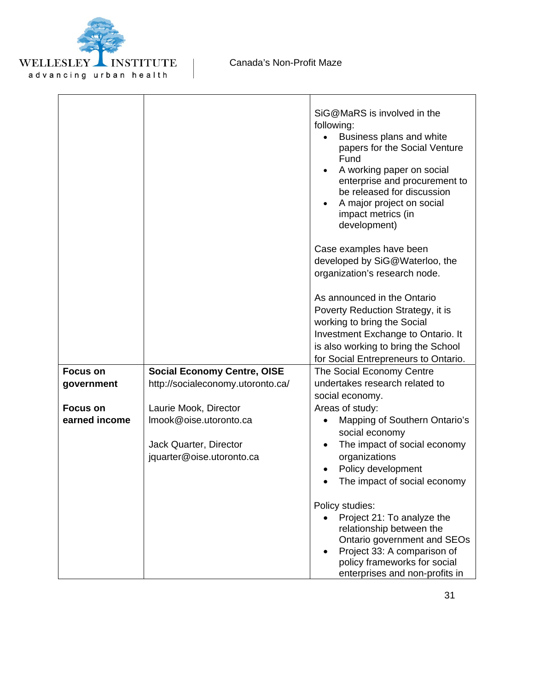

|                                  |                                                                                                        | SiG@MaRS is involved in the<br>following:<br>Business plans and white<br>papers for the Social Venture<br>Fund<br>A working paper on social<br>enterprise and procurement to<br>be released for discussion<br>A major project on social<br>impact metrics (in<br>development) |
|----------------------------------|--------------------------------------------------------------------------------------------------------|-------------------------------------------------------------------------------------------------------------------------------------------------------------------------------------------------------------------------------------------------------------------------------|
|                                  |                                                                                                        | Case examples have been<br>developed by SiG@Waterloo, the<br>organization's research node.                                                                                                                                                                                    |
|                                  |                                                                                                        | As announced in the Ontario<br>Poverty Reduction Strategy, it is<br>working to bring the Social<br>Investment Exchange to Ontario. It<br>is also working to bring the School<br>for Social Entrepreneurs to Ontario.                                                          |
| <b>Focus on</b><br>government    | <b>Social Economy Centre, OISE</b><br>http://socialeconomy.utoronto.ca/                                | The Social Economy Centre<br>undertakes research related to<br>social economy.                                                                                                                                                                                                |
| <b>Focus on</b><br>earned income | Laurie Mook, Director<br>Imook@oise.utoronto.ca<br>Jack Quarter, Director<br>jquarter@oise.utoronto.ca | Areas of study:<br>Mapping of Southern Ontario's<br>٠<br>social economy<br>The impact of social economy<br>organizations<br>Policy development<br>The impact of social economy                                                                                                |
|                                  |                                                                                                        | Policy studies:<br>Project 21: To analyze the<br>relationship between the<br>Ontario government and SEOs<br>Project 33: A comparison of<br>policy frameworks for social<br>enterprises and non-profits in                                                                     |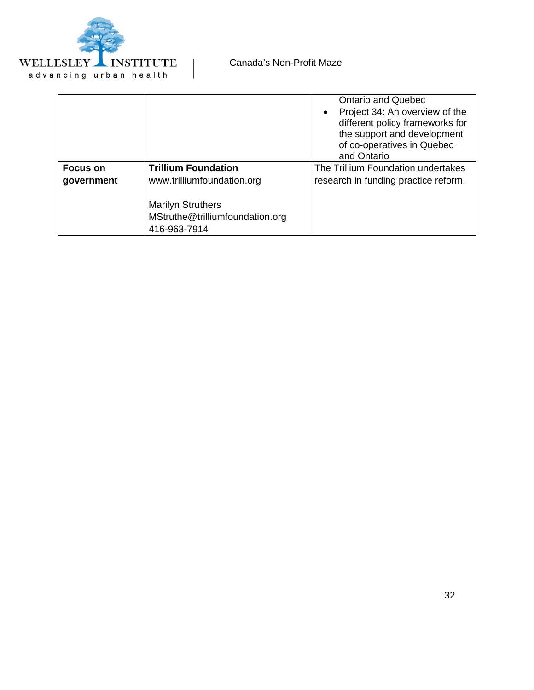

|                               |                                                                                                                                         | <b>Ontario and Quebec</b><br>Project 34: An overview of the<br>different policy frameworks for<br>the support and development<br>of co-operatives in Quebec<br>and Ontario |
|-------------------------------|-----------------------------------------------------------------------------------------------------------------------------------------|----------------------------------------------------------------------------------------------------------------------------------------------------------------------------|
| <b>Focus on</b><br>government | <b>Trillium Foundation</b><br>www.trilliumfoundation.org<br><b>Marilyn Struthers</b><br>MStruthe@trilliumfoundation.org<br>416-963-7914 | The Trillium Foundation undertakes<br>research in funding practice reform.                                                                                                 |